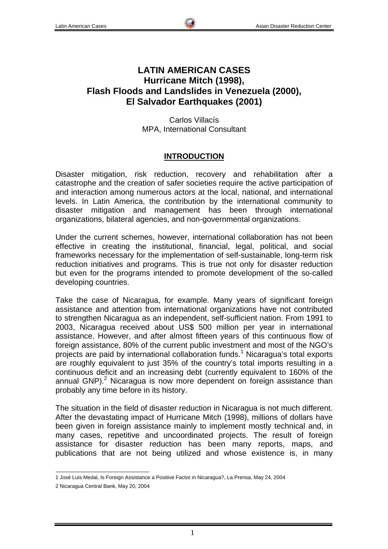# **LATIN AMERICAN CASES Hurricane Mitch (1998), Flash Floods and Landslides in Venezuela (2000), El Salvador Earthquakes (2001)**

Carlos Villacís MPA, International Consultant

## **INTRODUCTION**

Disaster mitigation, risk reduction, recovery and rehabilitation after a catastrophe and the creation of safer societies require the active participation of and interaction among numerous actors at the local, national, and international levels. In Latin America, the contribution by the international community to disaster mitigation and management has been through international organizations, bilateral agencies, and non-governmental organizations.

Under the current schemes, however, international collaboration has not been effective in creating the institutional, financial, legal, political, and social frameworks necessary for the implementation of self-sustainable, long-term risk reduction initiatives and programs. This is true not only for disaster reduction but even for the programs intended to promote development of the so-called developing countries.

Take the case of Nicaragua, for example. Many years of significant foreign assistance and attention from international organizations have not contributed to strengthen Nicaragua as an independent, self-sufficient nation. From 1991 to 2003, Nicaragua received about US\$ 500 million per year in international assistance. However, and after almost fifteen years of this continuous flow of foreign assistance, 80% of the current public investment and most of the NGO's projects are paid by international collaboration funds.<sup>1</sup> Nicaragua's total exports are roughly equivalent to just 35% of the country's total imports resulting in a continuous deficit and an increasing debt (currently equivalent to 160% of the annual GNP).<sup>2</sup> Nicaragua is now more dependent on foreign assistance than probably any time before in its history.

The situation in the field of disaster reduction in Nicaragua is not much different. After the devastating impact of Hurricane Mitch (1998), millions of dollars have been given in foreign assistance mainly to implement mostly technical and, in many cases, repetitive and uncoordinated projects. The result of foreign assistance for disaster reduction has been many reports, maps, and publications that are not being utilized and whose existence is, in many

 1 José Luis Medal, Is Foreign Assistance a Positive Factor in Nicaragua?, La Prensa, May 24, 2004

<sup>2</sup> Nicaragua Central Bank, May 20, 2004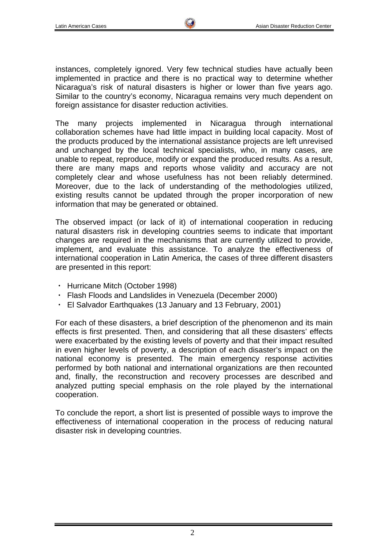instances, completely ignored. Very few technical studies have actually been implemented in practice and there is no practical way to determine whether Nicaragua's risk of natural disasters is higher or lower than five years ago. Similar to the country's economy, Nicaragua remains very much dependent on foreign assistance for disaster reduction activities.

The many projects implemented in Nicaragua through international collaboration schemes have had little impact in building local capacity. Most of the products produced by the international assistance projects are left unrevised and unchanged by the local technical specialists, who, in many cases, are unable to repeat, reproduce, modify or expand the produced results. As a result, there are many maps and reports whose validity and accuracy are not completely clear and whose usefulness has not been reliably determined. Moreover, due to the lack of understanding of the methodologies utilized, existing results cannot be updated through the proper incorporation of new information that may be generated or obtained.

The observed impact (or lack of it) of international cooperation in reducing natural disasters risk in developing countries seems to indicate that important changes are required in the mechanisms that are currently utilized to provide, implement, and evaluate this assistance. To analyze the effectiveness of international cooperation in Latin America, the cases of three different disasters are presented in this report:

- ・ Hurricane Mitch (October 1998)
- ・ Flash Floods and Landslides in Venezuela (December 2000)
- ・ El Salvador Earthquakes (13 January and 13 February, 2001)

For each of these disasters, a brief description of the phenomenon and its main effects is first presented. Then, and considering that all these disasters' effects were exacerbated by the existing levels of poverty and that their impact resulted in even higher levels of poverty, a description of each disaster's impact on the national economy is presented. The main emergency response activities performed by both national and international organizations are then recounted and, finally, the reconstruction and recovery processes are described and analyzed putting special emphasis on the role played by the international cooperation.

To conclude the report, a short list is presented of possible ways to improve the effectiveness of international cooperation in the process of reducing natural disaster risk in developing countries.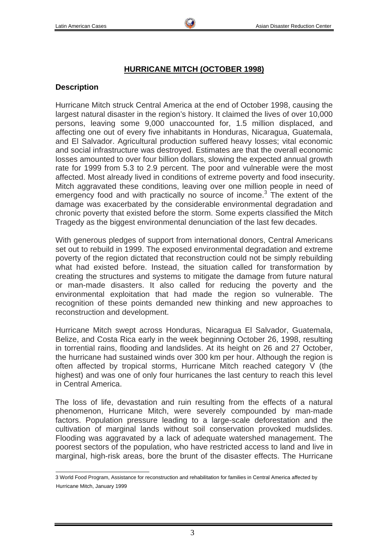## **HURRICANE MITCH (OCTOBER 1998)**

## **Description**

Hurricane Mitch struck Central America at the end of October 1998, causing the largest natural disaster in the region's history. It claimed the lives of over 10,000 persons, leaving some 9,000 unaccounted for, 1.5 million displaced, and affecting one out of every five inhabitants in Honduras, Nicaragua, Guatemala, and El Salvador. Agricultural production suffered heavy losses; vital economic and social infrastructure was destroyed. Estimates are that the overall economic losses amounted to over four billion dollars, slowing the expected annual growth rate for 1999 from 5.3 to 2.9 percent. The poor and vulnerable were the most affected. Most already lived in conditions of extreme poverty and food insecurity. Mitch aggravated these conditions, leaving over one million people in need of emergency food and with practically no source of income.<sup>3</sup> The extent of the damage was exacerbated by the considerable environmental degradation and chronic poverty that existed before the storm. Some experts classified the Mitch Tragedy as the biggest environmental denunciation of the last few decades.

With generous pledges of support from international donors, Central Americans set out to rebuild in 1999. The exposed environmental degradation and extreme poverty of the region dictated that reconstruction could not be simply rebuilding what had existed before. Instead, the situation called for transformation by creating the structures and systems to mitigate the damage from future natural or man-made disasters. It also called for reducing the poverty and the environmental exploitation that had made the region so vulnerable. The recognition of these points demanded new thinking and new approaches to reconstruction and development.

Hurricane Mitch swept across Honduras, Nicaragua El Salvador, Guatemala, Belize, and Costa Rica early in the week beginning October 26, 1998, resulting in torrential rains, flooding and landslides. At its height on 26 and 27 October, the hurricane had sustained winds over 300 km per hour. Although the region is often affected by tropical storms, Hurricane Mitch reached category V (the highest) and was one of only four hurricanes the last century to reach this level in Central America.

The loss of life, devastation and ruin resulting from the effects of a natural phenomenon, Hurricane Mitch, were severely compounded by man-made factors. Population pressure leading to a large-scale deforestation and the cultivation of marginal lands without soil conservation provoked mudslides. Flooding was aggravated by a lack of adequate watershed management. The poorest sectors of the population, who have restricted access to land and live in marginal, high-risk areas, bore the brunt of the disaster effects. The Hurricane

 3 World Food Program, Assistance for reconstruction and rehabilitation for families in Central America affected by Hurricane Mitch, January 1999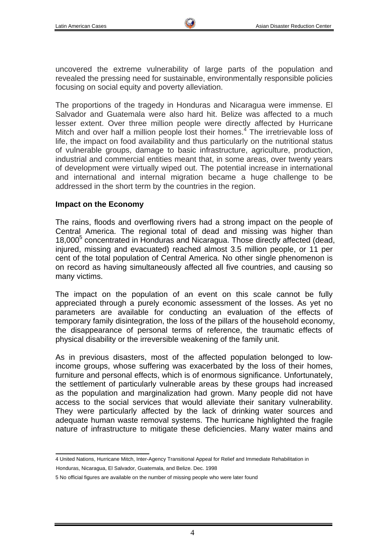uncovered the extreme vulnerability of large parts of the population and revealed the pressing need for sustainable, environmentally responsible policies focusing on social equity and poverty alleviation.

The proportions of the tragedy in Honduras and Nicaragua were immense. El Salvador and Guatemala were also hard hit. Belize was affected to a much lesser extent. Over three million people were directly affected by Hurricane Mitch and over half a million people lost their homes. $4^{\circ}$  The irretrievable loss of life, the impact on food availability and thus particularly on the nutritional status of vulnerable groups, damage to basic infrastructure, agriculture, production, industrial and commercial entities meant that, in some areas, over twenty years of development were virtually wiped out. The potential increase in international and international and internal migration became a huge challenge to be addressed in the short term by the countries in the region.

#### **Impact on the Economy**

The rains, floods and overflowing rivers had a strong impact on the people of Central America. The regional total of dead and missing was higher than 18,000<sup>5</sup> concentrated in Honduras and Nicaragua. Those directly affected (dead, injured, missing and evacuated) reached almost 3.5 million people, or 11 per cent of the total population of Central America. No other single phenomenon is on record as having simultaneously affected all five countries, and causing so many victims.

The impact on the population of an event on this scale cannot be fully appreciated through a purely economic assessment of the losses. As yet no parameters are available for conducting an evaluation of the effects of temporary family disintegration, the loss of the pillars of the household economy, the disappearance of personal terms of reference, the traumatic effects of physical disability or the irreversible weakening of the family unit.

As in previous disasters, most of the affected population belonged to lowincome groups, whose suffering was exacerbated by the loss of their homes, furniture and personal effects, which is of enormous significance. Unfortunately, the settlement of particularly vulnerable areas by these groups had increased as the population and marginalization had grown. Many people did not have access to the social services that would alleviate their sanitary vulnerability. They were particularly affected by the lack of drinking water sources and adequate human waste removal systems. The hurricane highlighted the fragile nature of infrastructure to mitigate these deficiencies. Many water mains and

 4 United Nations, Hurricane Mitch, Inter-Agency Transitional Appeal for Relief and Immediate Rehabilitation in

Honduras, Nicaragua, El Salvador, Guatemala, and Belize. Dec. 1998

<sup>5</sup> No official figures are available on the number of missing people who were later found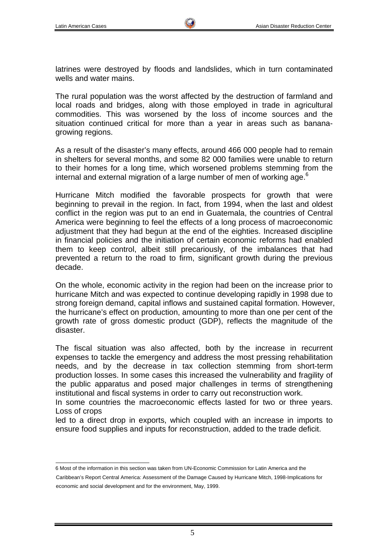latrines were destroyed by floods and landslides, which in turn contaminated wells and water mains.

The rural population was the worst affected by the destruction of farmland and local roads and bridges, along with those employed in trade in agricultural commodities. This was worsened by the loss of income sources and the situation continued critical for more than a year in areas such as bananagrowing regions.

As a result of the disaster's many effects, around 466 000 people had to remain in shelters for several months, and some 82 000 families were unable to return to their homes for a long time, which worsened problems stemming from the internal and external migration of a large number of men of working age. $6$ 

Hurricane Mitch modified the favorable prospects for growth that were beginning to prevail in the region. In fact, from 1994, when the last and oldest conflict in the region was put to an end in Guatemala, the countries of Central America were beginning to feel the effects of a long process of macroeconomic adjustment that they had begun at the end of the eighties. Increased discipline in financial policies and the initiation of certain economic reforms had enabled them to keep control, albeit still precariously, of the imbalances that had prevented a return to the road to firm, significant growth during the previous decade.

On the whole, economic activity in the region had been on the increase prior to hurricane Mitch and was expected to continue developing rapidly in 1998 due to strong foreign demand, capital inflows and sustained capital formation. However, the hurricane's effect on production, amounting to more than one per cent of the growth rate of gross domestic product (GDP), reflects the magnitude of the disaster.

The fiscal situation was also affected, both by the increase in recurrent expenses to tackle the emergency and address the most pressing rehabilitation needs, and by the decrease in tax collection stemming from short-term production losses. In some cases this increased the vulnerability and fragility of the public apparatus and posed major challenges in terms of strengthening institutional and fiscal systems in order to carry out reconstruction work.

In some countries the macroeconomic effects lasted for two or three years. Loss of crops

led to a direct drop in exports, which coupled with an increase in imports to ensure food supplies and inputs for reconstruction, added to the trade deficit.

 6 Most of the information in this section was taken from UN-Economic Commission for Latin America and the Caribbean's Report Central America: Assessment of the Damage Caused by Hurricane Mitch, 1998-Implications for economic and social development and for the environment, May, 1999.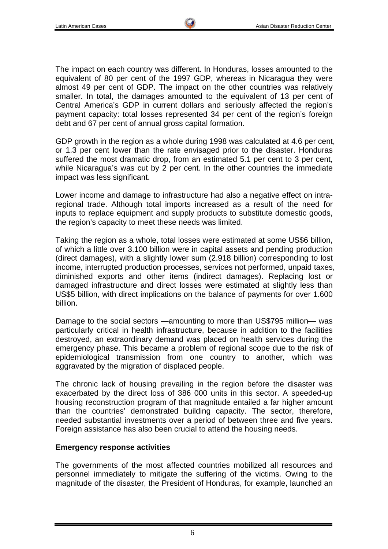The impact on each country was different. In Honduras, losses amounted to the equivalent of 80 per cent of the 1997 GDP, whereas in Nicaragua they were almost 49 per cent of GDP. The impact on the other countries was relatively smaller. In total, the damages amounted to the equivalent of 13 per cent of Central America's GDP in current dollars and seriously affected the region's payment capacity: total losses represented 34 per cent of the region's foreign debt and 67 per cent of annual gross capital formation.

GDP growth in the region as a whole during 1998 was calculated at 4.6 per cent, or 1.3 per cent lower than the rate envisaged prior to the disaster. Honduras suffered the most dramatic drop, from an estimated 5.1 per cent to 3 per cent, while Nicaragua's was cut by 2 per cent. In the other countries the immediate impact was less significant.

Lower income and damage to infrastructure had also a negative effect on intraregional trade. Although total imports increased as a result of the need for inputs to replace equipment and supply products to substitute domestic goods, the region's capacity to meet these needs was limited.

Taking the region as a whole, total losses were estimated at some US\$6 billion, of which a little over 3.100 billion were in capital assets and pending production (direct damages), with a slightly lower sum (2.918 billion) corresponding to lost income, interrupted production processes, services not performed, unpaid taxes, diminished exports and other items (indirect damages). Replacing lost or damaged infrastructure and direct losses were estimated at slightly less than US\$5 billion, with direct implications on the balance of payments for over 1.600 billion.

Damage to the social sectors —amounting to more than US\$795 million— was particularly critical in health infrastructure, because in addition to the facilities destroyed, an extraordinary demand was placed on health services during the emergency phase. This became a problem of regional scope due to the risk of epidemiological transmission from one country to another, which was aggravated by the migration of displaced people.

The chronic lack of housing prevailing in the region before the disaster was exacerbated by the direct loss of 386 000 units in this sector. A speeded-up housing reconstruction program of that magnitude entailed a far higher amount than the countries' demonstrated building capacity. The sector, therefore, needed substantial investments over a period of between three and five years. Foreign assistance has also been crucial to attend the housing needs.

#### **Emergency response activities**

The governments of the most affected countries mobilized all resources and personnel immediately to mitigate the suffering of the victims. Owing to the magnitude of the disaster, the President of Honduras, for example, launched an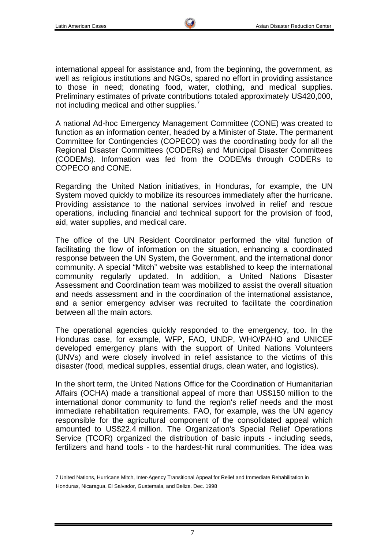international appeal for assistance and, from the beginning, the government, as well as religious institutions and NGOs, spared no effort in providing assistance to those in need; donating food, water, clothing, and medical supplies. Preliminary estimates of private contributions totaled approximately US420,000, not including medical and other supplies.<sup>7</sup>

A national Ad-hoc Emergency Management Committee (CONE) was created to function as an information center, headed by a Minister of State. The permanent Committee for Contingencies (COPECO) was the coordinating body for all the Regional Disaster Committees (CODERs) and Municipal Disaster Committees (CODEMs). Information was fed from the CODEMs through CODERs to COPECO and CONE.

Regarding the United Nation initiatives, in Honduras, for example, the UN System moved quickly to mobilize its resources immediately after the hurricane. Providing assistance to the national services involved in relief and rescue operations, including financial and technical support for the provision of food, aid, water supplies, and medical care.

The office of the UN Resident Coordinator performed the vital function of facilitating the flow of information on the situation, enhancing a coordinated response between the UN System, the Government, and the international donor community. A special "Mitch" website was established to keep the international community regularly updated. In addition, a United Nations Disaster Assessment and Coordination team was mobilized to assist the overall situation and needs assessment and in the coordination of the international assistance, and a senior emergency adviser was recruited to facilitate the coordination between all the main actors.

The operational agencies quickly responded to the emergency, too. In the Honduras case, for example, WFP, FAO, UNDP, WHO/PAHO and UNICEF developed emergency plans with the support of United Nations Volunteers (UNVs) and were closely involved in relief assistance to the victims of this disaster (food, medical supplies, essential drugs, clean water, and logistics).

In the short term, the United Nations Office for the Coordination of Humanitarian Affairs (OCHA) made a transitional appeal of more than US\$150 million to the international donor community to fund the region's relief needs and the most immediate rehabilitation requirements. FAO, for example, was the UN agency responsible for the agricultural component of the consolidated appeal which amounted to US\$22.4 million. The Organization's Special Relief Operations Service (TCOR) organized the distribution of basic inputs - including seeds, fertilizers and hand tools - to the hardest-hit rural communities. The idea was

 7 United Nations, Hurricane Mitch, Inter-Agency Transitional Appeal for Relief and Immediate Rehabilitation in Honduras, Nicaragua, El Salvador, Guatemala, and Belize. Dec. 1998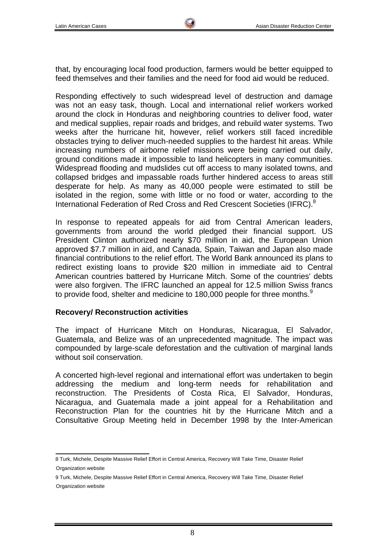that, by encouraging local food production, farmers would be better equipped to feed themselves and their families and the need for food aid would be reduced.

Responding effectively to such widespread level of destruction and damage was not an easy task, though. Local and international relief workers worked around the clock in Honduras and neighboring countries to deliver food, water and medical supplies, repair roads and bridges, and rebuild water systems. Two weeks after the hurricane hit, however, relief workers still faced incredible obstacles trying to deliver much-needed supplies to the hardest hit areas. While increasing numbers of airborne relief missions were being carried out daily, ground conditions made it impossible to land helicopters in many communities. Widespread flooding and mudslides cut off access to many isolated towns, and collapsed bridges and impassable roads further hindered access to areas still desperate for help. As many as 40,000 people were estimated to still be isolated in the region, some with little or no food or water, according to the International Federation of Red Cross and Red Crescent Societies (IFRC).<sup>8</sup>

In response to repeated appeals for aid from Central American leaders, governments from around the world pledged their financial support. US President Clinton authorized nearly \$70 million in aid, the European Union approved \$7.7 million in aid, and Canada, Spain, Taiwan and Japan also made financial contributions to the relief effort. The World Bank announced its plans to redirect existing loans to provide \$20 million in immediate aid to Central American countries battered by Hurricane Mitch. Some of the countries' debts were also forgiven. The IFRC launched an appeal for 12.5 million Swiss francs to provide food, shelter and medicine to 180,000 people for three months.<sup>9</sup>

#### **Recovery/ Reconstruction activities**

The impact of Hurricane Mitch on Honduras, Nicaragua, El Salvador, Guatemala, and Belize was of an unprecedented magnitude. The impact was compounded by large-scale deforestation and the cultivation of marginal lands without soil conservation.

A concerted high-level regional and international effort was undertaken to begin addressing the medium and long-term needs for rehabilitation and reconstruction. The Presidents of Costa Rica, El Salvador, Honduras, Nicaragua, and Guatemala made a joint appeal for a Rehabilitation and Reconstruction Plan for the countries hit by the Hurricane Mitch and a Consultative Group Meeting held in December 1998 by the Inter-American

 8 Turk, Michele, Despite Massive Relief Effort in Central America, Recovery Will Take Time, Disaster Relief Organization website

<sup>9</sup> Turk, Michele, Despite Massive Relief Effort in Central America, Recovery Will Take Time, Disaster Relief Organization website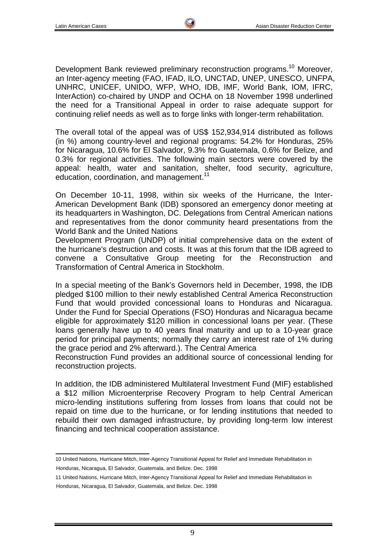Development Bank reviewed preliminary reconstruction programs.<sup>10</sup> Moreover, an Inter-agency meeting (FAO, IFAD, ILO, UNCTAD, UNEP, UNESCO, UNFPA, UNHRC, UNICEF, UNIDO, WFP, WHO, IDB, IMF, World Bank, IOM, IFRC, InterAction) co-chaired by UNDP and OCHA on 18 November 1998 underlined the need for a Transitional Appeal in order to raise adequate support for continuing relief needs as well as to forge links with longer-term rehabilitation.

The overall total of the appeal was of US\$ 152,934,914 distributed as follows (in %) among country-level and regional programs: 54.2% for Honduras, 25% for Nicaragua, 10.6% for El Salvador, 9.3% fro Guatemala, 0.6% for Belize, and 0.3% for regional activities. The following main sectors were covered by the appeal: health, water and sanitation, shelter, food security, agriculture, education, coordination, and management.<sup>11</sup>

On December 10-11, 1998, within six weeks of the Hurricane, the Inter-American Development Bank (IDB) sponsored an emergency donor meeting at its headquarters in Washington, DC. Delegations from Central American nations and representatives from the donor community heard presentations from the World Bank and the United Nations

Development Program (UNDP) of initial comprehensive data on the extent of the hurricane's destruction and costs. It was at this forum that the IDB agreed to convene a Consultative Group meeting for the Reconstruction and Transformation of Central America in Stockholm.

In a special meeting of the Bank's Governors held in December, 1998, the IDB pledged \$100 million to their newly established Central America Reconstruction Fund that would provided concessional loans to Honduras and Nicaragua. Under the Fund for Special Operations (FSO) Honduras and Nicaragua became eligible for approximately \$120 million in concessional loans per year. (These loans generally have up to 40 years final maturity and up to a 10-year grace period for principal payments; normally they carry an interest rate of 1% during the grace period and 2% afterward.). The Central America

Reconstruction Fund provides an additional source of concessional lending for reconstruction projects.

In addition, the IDB administered Multilateral Investment Fund (MIF) established a \$12 million Microenterprise Recovery Program to help Central American micro-lending institutions suffering from losses from loans that could not be repaid on time due to the hurricane, or for lending institutions that needed to rebuild their own damaged infrastructure, by providing long-term low interest financing and technical cooperation assistance.

 10 United Nations, Hurricane Mitch, Inter-Agency Transitional Appeal for Relief and Immediate Rehabilitation in Honduras, Nicaragua, El Salvador, Guatemala, and Belize. Dec. 1998

<sup>11</sup> United Nations, Hurricane Mitch, Inter-Agency Transitional Appeal for Relief and Immediate Rehabilitation in

Honduras, Nicaragua, El Salvador, Guatemala, and Belize. Dec. 1998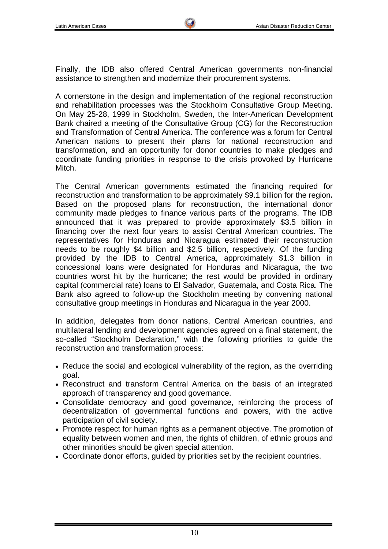Finally, the IDB also offered Central American governments non-financial assistance to strengthen and modernize their procurement systems.

A cornerstone in the design and implementation of the regional reconstruction and rehabilitation processes was the Stockholm Consultative Group Meeting. On May 25-28, 1999 in Stockholm, Sweden, the Inter-American Development Bank chaired a meeting of the Consultative Group (CG) for the Reconstruction and Transformation of Central America. The conference was a forum for Central American nations to present their plans for national reconstruction and transformation, and an opportunity for donor countries to make pledges and coordinate funding priorities in response to the crisis provoked by Hurricane Mitch.

The Central American governments estimated the financing required for reconstruction and transformation to be approximately \$9.1 billion for the region**.** Based on the proposed plans for reconstruction, the international donor community made pledges to finance various parts of the programs. The IDB announced that it was prepared to provide approximately \$3.5 billion in financing over the next four years to assist Central American countries. The representatives for Honduras and Nicaragua estimated their reconstruction needs to be roughly \$4 billion and \$2.5 billion, respectively. Of the funding provided by the IDB to Central America, approximately \$1.3 billion in concessional loans were designated for Honduras and Nicaragua, the two countries worst hit by the hurricane; the rest would be provided in ordinary capital (commercial rate) loans to El Salvador, Guatemala, and Costa Rica. The Bank also agreed to follow-up the Stockholm meeting by convening national consultative group meetings in Honduras and Nicaragua in the year 2000.

In addition, delegates from donor nations, Central American countries, and multilateral lending and development agencies agreed on a final statement, the so-called "Stockholm Declaration," with the following priorities to guide the reconstruction and transformation process:

- Reduce the social and ecological vulnerability of the region, as the overriding goal.
- Reconstruct and transform Central America on the basis of an integrated approach of transparency and good governance.
- Consolidate democracy and good governance, reinforcing the process of decentralization of governmental functions and powers, with the active participation of civil society.
- Promote respect for human rights as a permanent objective. The promotion of equality between women and men, the rights of children, of ethnic groups and other minorities should be given special attention.
- Coordinate donor efforts, guided by priorities set by the recipient countries.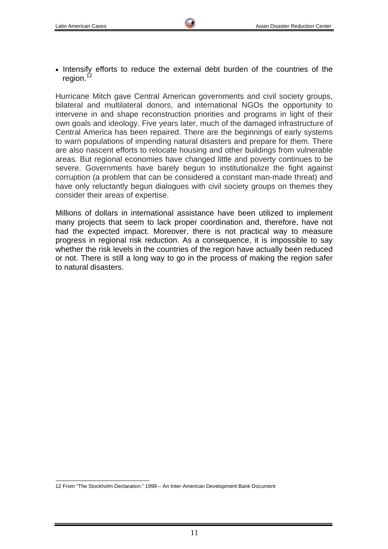• Intensify efforts to reduce the external debt burden of the countries of the region. $12$ 

Hurricane Mitch gave Central American governments and civil society groups, bilateral and multilateral donors, and international NGOs the opportunity to intervene in and shape reconstruction priorities and programs in light of their own goals and ideology. Five years later, much of the damaged infrastructure of Central America has been repaired. There are the beginnings of early systems to warn populations of impending natural disasters and prepare for them. There are also nascent efforts to relocate housing and other buildings from vulnerable areas. But regional economies have changed little and poverty continues to be severe. Governments have barely begun to institutionalize the fight against corruption (a problem that can be considered a constant man-made threat) and have only reluctantly begun dialogues with civil society groups on themes they consider their areas of expertise.

Millions of dollars in international assistance have been utilized to implement many projects that seem to lack proper coordination and, therefore, have not had the expected impact. Moreover, there is not practical way to measure progress in regional risk reduction. As a consequence, it is impossible to say whether the risk levels in the countries of the region have actually been reduced or not. There is still a long way to go in the process of making the region safer to natural disasters.

 12 From "The Stockholm Declaration." 1999 – An Inter-American Development Bank Document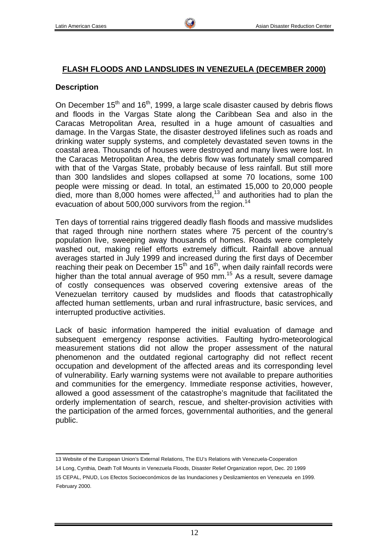### **FLASH FLOODS AND LANDSLIDES IN VENEZUELA (DECEMBER 2000)**

#### **Description**

On December  $15<sup>th</sup>$  and  $16<sup>th</sup>$ , 1999, a large scale disaster caused by debris flows and floods in the Vargas State along the Caribbean Sea and also in the Caracas Metropolitan Area, resulted in a huge amount of casualties and damage. In the Vargas State, the disaster destroyed lifelines such as roads and drinking water supply systems, and completely devastated seven towns in the coastal area. Thousands of houses were destroyed and many lives were lost. In the Caracas Metropolitan Area, the debris flow was fortunately small compared with that of the Vargas State, probably because of less rainfall. But still more than 300 landslides and slopes collapsed at some 70 locations, some 100 people were missing or dead. In total, an estimated 15,000 to 20,000 people died, more than  $8,000$  homes were affected,<sup>13</sup> and authorities had to plan the evacuation of about 500,000 survivors from the region.<sup>14</sup>

Ten days of torrential rains triggered deadly flash floods and massive mudslides that raged through nine northern states where 75 percent of the country's population live, sweeping away thousands of homes. Roads were completely washed out, making relief efforts extremely difficult. Rainfall above annual averages started in July 1999 and increased during the first days of December reaching their peak on December  $15<sup>th</sup>$  and  $16<sup>th</sup>$ , when daily rainfall records were higher than the total annual average of 950 mm.<sup>15</sup> As a result, severe damage of costly consequences was observed covering extensive areas of the Venezuelan territory caused by mudslides and floods that catastrophically affected human settlements, urban and rural infrastructure, basic services, and interrupted productive activities.

Lack of basic information hampered the initial evaluation of damage and subsequent emergency response activities. Faulting hydro-meteorological measurement stations did not allow the proper assessment of the natural phenomenon and the outdated regional cartography did not reflect recent occupation and development of the affected areas and its corresponding level of vulnerability. Early warning systems were not available to prepare authorities and communities for the emergency. Immediate response activities, however, allowed a good assessment of the catastrophe's magnitude that facilitated the orderly implementation of search, rescue, and shelter-provision activities with the participation of the armed forces, governmental authorities, and the general public.

14 Long, Cynthia, Death Toll Mounts in Venezuela Floods, Disaster Relief Organization report, Dec. 20 1999

 13 Website of the European Union's External Relations, The EU's Relations with Venezuela-Cooperation

<sup>15</sup> CEPAL, PNUD, Los Efectos Socioeconómicos de las Inundaciones y Deslizamientos en Venezuela en 1999. February 2000.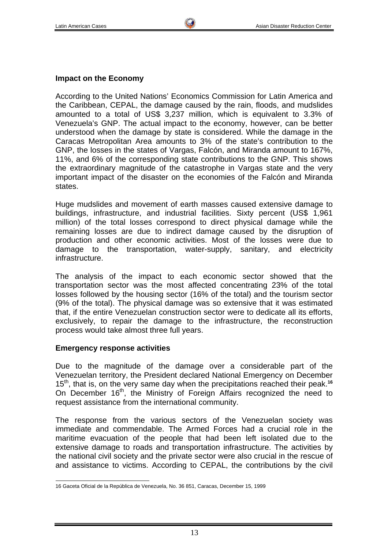According to the United Nations' Economics Commission for Latin America and the Caribbean, CEPAL, the damage caused by the rain, floods, and mudslides amounted to a total of US\$ 3,237 million, which is equivalent to 3.3% of Venezuela's GNP. The actual impact to the economy, however, can be better understood when the damage by state is considered. While the damage in the Caracas Metropolitan Area amounts to 3% of the state's contribution to the GNP, the losses in the states of Vargas, Falcón, and Miranda amount to 167%, 11%, and 6% of the corresponding state contributions to the GNP. This shows the extraordinary magnitude of the catastrophe in Vargas state and the very important impact of the disaster on the economies of the Falcón and Miranda states.

Huge mudslides and movement of earth masses caused extensive damage to buildings, infrastructure, and industrial facilities. Sixty percent (US\$ 1,961 million) of the total losses correspond to direct physical damage while the remaining losses are due to indirect damage caused by the disruption of production and other economic activities. Most of the losses were due to damage to the transportation, water-supply, sanitary, and electricity infrastructure.

The analysis of the impact to each economic sector showed that the transportation sector was the most affected concentrating 23% of the total losses followed by the housing sector (16% of the total) and the tourism sector (9% of the total). The physical damage was so extensive that it was estimated that, if the entire Venezuelan construction sector were to dedicate all its efforts, exclusively, to repair the damage to the infrastructure, the reconstruction process would take almost three full years.

### **Emergency response activities**

Due to the magnitude of the damage over a considerable part of the Venezuelan territory, the President declared National Emergency on December 15th, that is, on the very same day when the precipitations reached their peak.**<sup>16</sup>** On December 16<sup>th</sup>, the Ministry of Foreign Affairs recognized the need to request assistance from the international community.

The response from the various sectors of the Venezuelan society was immediate and commendable. The Armed Forces had a crucial role in the maritime evacuation of the people that had been left isolated due to the extensive damage to roads and transportation infrastructure. The activities by the national civil society and the private sector were also crucial in the rescue of and assistance to victims. According to CEPAL, the contributions by the civil

 16 Gaceta Oficial de la República de Venezuela, No. 36 851, Caracas, December 15, 1999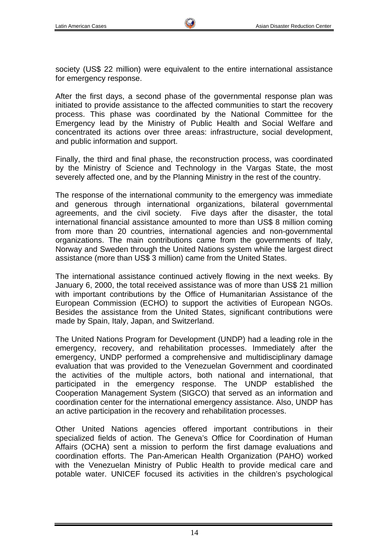society (US\$ 22 million) were equivalent to the entire international assistance for emergency response.

After the first days, a second phase of the governmental response plan was initiated to provide assistance to the affected communities to start the recovery process. This phase was coordinated by the National Committee for the Emergency lead by the Ministry of Public Health and Social Welfare and concentrated its actions over three areas: infrastructure, social development, and public information and support.

Finally, the third and final phase, the reconstruction process, was coordinated by the Ministry of Science and Technology in the Vargas State, the most severely affected one, and by the Planning Ministry in the rest of the country.

The response of the international community to the emergency was immediate and generous through international organizations, bilateral governmental agreements, and the civil society. Five days after the disaster, the total international financial assistance amounted to more than US\$ 8 million coming from more than 20 countries, international agencies and non-governmental organizations. The main contributions came from the governments of Italy, Norway and Sweden through the United Nations system while the largest direct assistance (more than US\$ 3 million) came from the United States.

The international assistance continued actively flowing in the next weeks. By January 6, 2000, the total received assistance was of more than US\$ 21 million with important contributions by the Office of Humanitarian Assistance of the European Commission (ECHO) to support the activities of European NGOs. Besides the assistance from the United States, significant contributions were made by Spain, Italy, Japan, and Switzerland.

The United Nations Program for Development (UNDP) had a leading role in the emergency, recovery, and rehabilitation processes. Immediately after the emergency, UNDP performed a comprehensive and multidisciplinary damage evaluation that was provided to the Venezuelan Government and coordinated the activities of the multiple actors, both national and international, that participated in the emergency response. The UNDP established the Cooperation Management System (SIGCO) that served as an information and coordination center for the international emergency assistance. Also, UNDP has an active participation in the recovery and rehabilitation processes.

Other United Nations agencies offered important contributions in their specialized fields of action. The Geneva's Office for Coordination of Human Affairs (OCHA) sent a mission to perform the first damage evaluations and coordination efforts. The Pan-American Health Organization (PAHO) worked with the Venezuelan Ministry of Public Health to provide medical care and potable water. UNICEF focused its activities in the children's psychological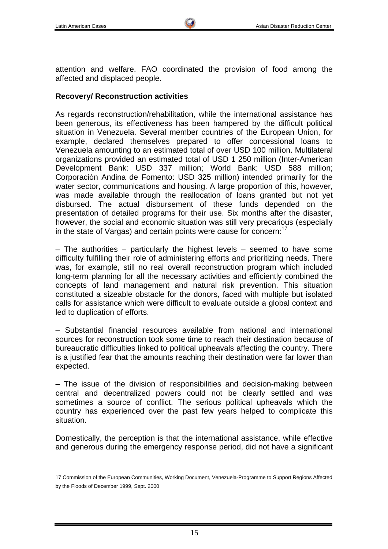attention and welfare. FAO coordinated the provision of food among the affected and displaced people.

### **Recovery/ Reconstruction activities**

As regards reconstruction/rehabilitation, while the international assistance has been generous, its effectiveness has been hampered by the difficult political situation in Venezuela. Several member countries of the European Union, for example, declared themselves prepared to offer concessional loans to Venezuela amounting to an estimated total of over USD 100 million. Multilateral organizations provided an estimated total of USD 1 250 million (Inter-American Development Bank: USD 337 million; World Bank: USD 588 million; Corporación Andina de Fomento: USD 325 million) intended primarily for the water sector, communications and housing. A large proportion of this, however, was made available through the reallocation of loans granted but not yet disbursed. The actual disbursement of these funds depended on the presentation of detailed programs for their use. Six months after the disaster, however, the social and economic situation was still very precarious (especially in the state of Vargas) and certain points were cause for concern: $17$ 

– The authorities – particularly the highest levels – seemed to have some difficulty fulfilling their role of administering efforts and prioritizing needs. There was, for example, still no real overall reconstruction program which included long-term planning for all the necessary activities and efficiently combined the concepts of land management and natural risk prevention. This situation constituted a sizeable obstacle for the donors, faced with multiple but isolated calls for assistance which were difficult to evaluate outside a global context and led to duplication of efforts.

– Substantial financial resources available from national and international sources for reconstruction took some time to reach their destination because of bureaucratic difficulties linked to political upheavals affecting the country. There is a justified fear that the amounts reaching their destination were far lower than expected.

– The issue of the division of responsibilities and decision-making between central and decentralized powers could not be clearly settled and was sometimes a source of conflict. The serious political upheavals which the country has experienced over the past few years helped to complicate this situation.

Domestically, the perception is that the international assistance, while effective and generous during the emergency response period, did not have a significant

 17 Commission of the European Communities, Working Document, Venezuela-Programme to Support Regions Affected by the Floods of December 1999, Sept. 2000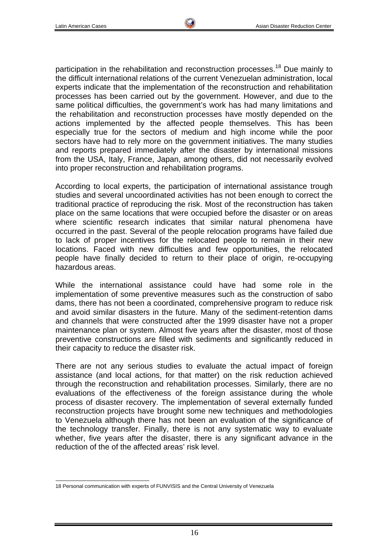participation in the rehabilitation and reconstruction processes.<sup>18</sup> Due mainly to the difficult international relations of the current Venezuelan administration, local experts indicate that the implementation of the reconstruction and rehabilitation processes has been carried out by the government. However, and due to the same political difficulties, the government's work has had many limitations and the rehabilitation and reconstruction processes have mostly depended on the actions implemented by the affected people themselves. This has been especially true for the sectors of medium and high income while the poor sectors have had to rely more on the government initiatives. The many studies and reports prepared immediately after the disaster by international missions from the USA, Italy, France, Japan, among others, did not necessarily evolved into proper reconstruction and rehabilitation programs.

According to local experts, the participation of international assistance trough studies and several uncoordinated activities has not been enough to correct the traditional practice of reproducing the risk. Most of the reconstruction has taken place on the same locations that were occupied before the disaster or on areas where scientific research indicates that similar natural phenomena have occurred in the past. Several of the people relocation programs have failed due to lack of proper incentives for the relocated people to remain in their new locations. Faced with new difficulties and few opportunities, the relocated people have finally decided to return to their place of origin, re-occupying hazardous areas.

While the international assistance could have had some role in the implementation of some preventive measures such as the construction of sabo dams, there has not been a coordinated, comprehensive program to reduce risk and avoid similar disasters in the future. Many of the sediment-retention dams and channels that were constructed after the 1999 disaster have not a proper maintenance plan or system. Almost five years after the disaster, most of those preventive constructions are filled with sediments and significantly reduced in their capacity to reduce the disaster risk.

There are not any serious studies to evaluate the actual impact of foreign assistance (and local actions, for that matter) on the risk reduction achieved through the reconstruction and rehabilitation processes. Similarly, there are no evaluations of the effectiveness of the foreign assistance during the whole process of disaster recovery. The implementation of several externally funded reconstruction projects have brought some new techniques and methodologies to Venezuela although there has not been an evaluation of the significance of the technology transfer. Finally, there is not any systematic way to evaluate whether, five years after the disaster, there is any significant advance in the reduction of the of the affected areas' risk level.

 18 Personal communication with experts of FUNVISIS and the Central University of Venezuela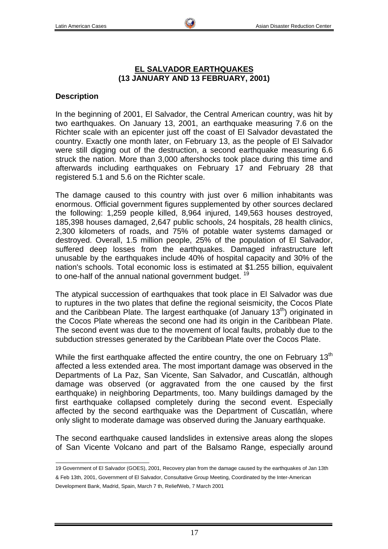### **EL SALVADOR EARTHQUAKES (13 JANUARY AND 13 FEBRUARY, 2001)**

### **Description**

In the beginning of 2001, El Salvador, the Central American country, was hit by two earthquakes. On January 13, 2001, an earthquake measuring 7.6 on the Richter scale with an epicenter just off the coast of El Salvador devastated the country. Exactly one month later, on February 13, as the people of El Salvador were still digging out of the destruction, a second earthquake measuring 6.6 struck the nation. More than 3,000 aftershocks took place during this time and afterwards including earthquakes on February 17 and February 28 that registered 5.1 and 5.6 on the Richter scale.

The damage caused to this country with just over 6 million inhabitants was enormous. Official government figures supplemented by other sources declared the following: 1,259 people killed, 8,964 injured, 149,563 houses destroyed, 185,398 houses damaged, 2,647 public schools, 24 hospitals, 28 health clinics, 2,300 kilometers of roads, and 75% of potable water systems damaged or destroyed. Overall, 1.5 million people, 25% of the population of El Salvador, suffered deep losses from the earthquakes. Damaged infrastructure left unusable by the earthquakes include 40% of hospital capacity and 30% of the nation's schools. Total economic loss is estimated at \$1.255 billion, equivalent to one-half of the annual national government budget.<sup>19</sup>

The atypical succession of earthquakes that took place in El Salvador was due to ruptures in the two plates that define the regional seismicity, the Cocos Plate and the Caribbean Plate. The largest earthquake (of January  $13<sup>th</sup>$ ) originated in the Cocos Plate whereas the second one had its origin in the Caribbean Plate. The second event was due to the movement of local faults, probably due to the subduction stresses generated by the Caribbean Plate over the Cocos Plate.

While the first earthquake affected the entire country, the one on February 13<sup>th</sup> affected a less extended area. The most important damage was observed in the Departments of La Paz, San Vicente, San Salvador, and Cuscatlán, although damage was observed (or aggravated from the one caused by the first earthquake) in neighboring Departments, too. Many buildings damaged by the first earthquake collapsed completely during the second event. Especially affected by the second earthquake was the Department of Cuscatlán, where only slight to moderate damage was observed during the January earthquake.

The second earthquake caused landslides in extensive areas along the slopes of San Vicente Volcano and part of the Balsamo Range, especially around

 19 Government of El Salvador (GOES), 2001, Recovery plan from the damage caused by the earthquakes of Jan 13th & Feb 13th, 2001, Government of El Salvador, Consultative Group Meeting, Coordinated by the Inter-American Development Bank, Madrid, Spain, March 7 th, ReliefWeb, 7 March 2001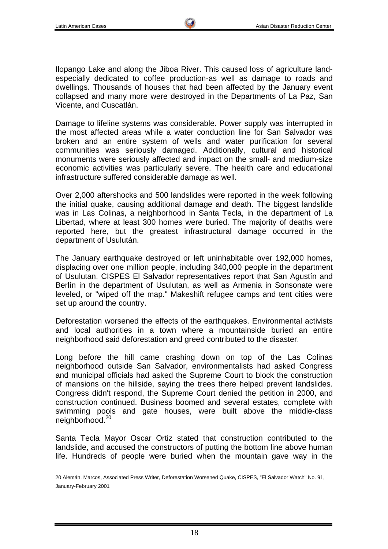Ilopango Lake and along the Jiboa River. This caused loss of agriculture landespecially dedicated to coffee production-as well as damage to roads and dwellings. Thousands of houses that had been affected by the January event collapsed and many more were destroyed in the Departments of La Paz, San Vicente, and Cuscatlán.

Damage to lifeline systems was considerable. Power supply was interrupted in the most affected areas while a water conduction line for San Salvador was broken and an entire system of wells and water purification for several communities was seriously damaged. Additionally, cultural and historical monuments were seriously affected and impact on the small- and medium-size economic activities was particularly severe. The health care and educational infrastructure suffered considerable damage as well.

Over 2,000 aftershocks and 500 landslides were reported in the week following the initial quake, causing additional damage and death. The biggest landslide was in Las Colinas, a neighborhood in Santa Tecla, in the department of La Libertad, where at least 300 homes were buried. The majority of deaths were reported here, but the greatest infrastructural damage occurred in the department of Usulután.

The January earthquake destroyed or left uninhabitable over 192,000 homes, displacing over one million people, including 340,000 people in the department of Usulutan. CISPES El Salvador representatives report that San Agustín and Berlín in the department of Usulutan, as well as Armenia in Sonsonate were leveled, or "wiped off the map." Makeshift refugee camps and tent cities were set up around the country.

Deforestation worsened the effects of the earthquakes. Environmental activists and local authorities in a town where a mountainside buried an entire neighborhood said deforestation and greed contributed to the disaster.

Long before the hill came crashing down on top of the Las Colinas neighborhood outside San Salvador, environmentalists had asked Congress and municipal officials had asked the Supreme Court to block the construction of mansions on the hillside, saying the trees there helped prevent landslides. Congress didn't respond, the Supreme Court denied the petition in 2000, and construction continued. Business boomed and several estates, complete with swimming pools and gate houses, were built above the middle-class neighborhood.<sup>20</sup>

Santa Tecla Mayor Oscar Ortiz stated that construction contributed to the landslide, and accused the constructors of putting the bottom line above human life. Hundreds of people were buried when the mountain gave way in the

 20 Alemán, Marcos, Associated Press Writer, Deforestation Worsened Quake, CISPES, "El Salvador Watch" No. 91, January-February 2001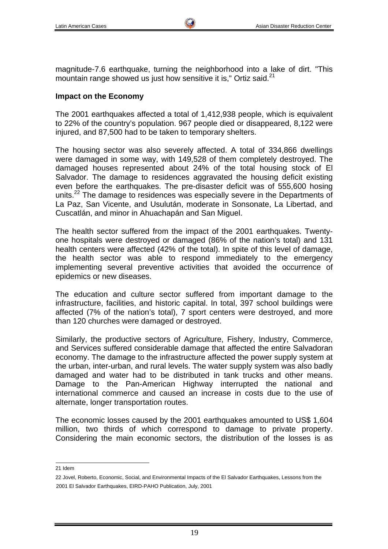magnitude-7.6 earthquake, turning the neighborhood into a lake of dirt. "This mountain range showed us just how sensitive it is," Ortiz said.<sup>21</sup>

#### **Impact on the Economy**

The 2001 earthquakes affected a total of 1,412,938 people, which is equivalent to 22% of the country's population. 967 people died or disappeared, 8,122 were injured, and 87,500 had to be taken to temporary shelters.

The housing sector was also severely affected. A total of 334,866 dwellings were damaged in some way, with 149,528 of them completely destroyed. The damaged houses represented about 24% of the total housing stock of El Salvador. The damage to residences aggravated the housing deficit existing even before the earthquakes. The pre-disaster deficit was of 555,600 hosing units.<sup>22</sup> The damage to residences was especially severe in the Departments of La Paz, San Vicente, and Usulután, moderate in Sonsonate, La Libertad, and Cuscatlán, and minor in Ahuachapán and San Miguel.

The health sector suffered from the impact of the 2001 earthquakes. Twentyone hospitals were destroyed or damaged (86% of the nation's total) and 131 health centers were affected (42% of the total). In spite of this level of damage, the health sector was able to respond immediately to the emergency implementing several preventive activities that avoided the occurrence of epidemics or new diseases.

The education and culture sector suffered from important damage to the infrastructure, facilities, and historic capital. In total, 397 school buildings were affected (7% of the nation's total), 7 sport centers were destroyed, and more than 120 churches were damaged or destroyed.

Similarly, the productive sectors of Agriculture, Fishery, Industry, Commerce, and Services suffered considerable damage that affected the entire Salvadoran economy. The damage to the infrastructure affected the power supply system at the urban, inter-urban, and rural levels. The water supply system was also badly damaged and water had to be distributed in tank trucks and other means. Damage to the Pan-American Highway interrupted the national and international commerce and caused an increase in costs due to the use of alternate, longer transportation routes.

The economic losses caused by the 2001 earthquakes amounted to US\$ 1,604 million, two thirds of which correspond to damage to private property. Considering the main economic sectors, the distribution of the losses is as

21 Idem

<sup>22</sup> Jovel, Roberto, Economic, Social, and Environmental Impacts of the El Salvador Earthquakes, Lessons from the 2001 El Salvador Earthquakes, EIRD-PAHO Publication, July, 2001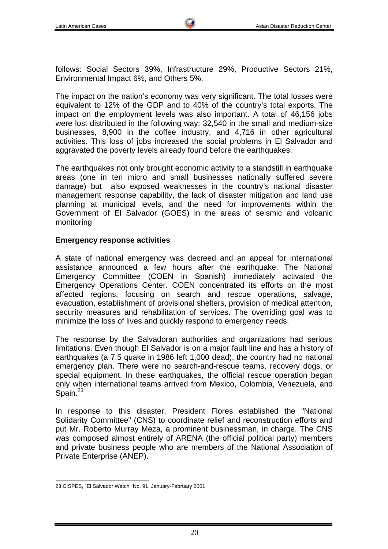follows: Social Sectors 39%, Infrastructure 29%, Productive Sectors 21%, Environmental Impact 6%, and Others 5%.

The impact on the nation's economy was very significant. The total losses were equivalent to 12% of the GDP and to 40% of the country's total exports. The impact on the employment levels was also important. A total of 46,156 jobs were lost distributed in the following way: 32,540 in the small and medium-size businesses, 8,900 in the coffee industry, and 4,716 in other agricultural activities. This loss of jobs increased the social problems in El Salvador and aggravated the poverty levels already found before the earthquakes.

The earthquakes not only brought economic activity to a standstill in earthquake areas (one in ten micro and small businesses nationally suffered severe damage) but also exposed weaknesses in the country's national disaster management response capability, the lack of disaster mitigation and land use planning at municipal levels, and the need for improvements within the Government of El Salvador (GOES) in the areas of seismic and volcanic monitoring

#### **Emergency response activities**

A state of national emergency was decreed and an appeal for international assistance announced a few hours after the earthquake. The National Emergency Committee (COEN in Spanish) immediately activated the Emergency Operations Center. COEN concentrated its efforts on the most affected regions, focusing on search and rescue operations, salvage, evacuation, establishment of provisional shelters, provision of medical attention, security measures and rehabilitation of services. The overriding goal was to minimize the loss of lives and quickly respond to emergency needs.

The response by the Salvadoran authorities and organizations had serious limitations. Even though El Salvador is on a major fault line and has a history of earthquakes (a 7.5 quake in 1986 left 1,000 dead), the country had no national emergency plan. There were no search-and-rescue teams, recovery dogs, or special equipment. In these earthquakes, the official rescue operation began only when international teams arrived from Mexico, Colombia, Venezuela, and Spain. $23$ 

In response to this disaster, President Flores established the "National Solidarity Committee" (CNS) to coordinate relief and reconstruction efforts and put Mr. Roberto Murray Meza, a prominent businessman, in charge. The CNS was composed almost entirely of ARENA (the official political party) members and private business people who are members of the National Association of Private Enterprise (ANEP).

 23 CISPES, "El Salvador Watch" No. 91, January-February 2001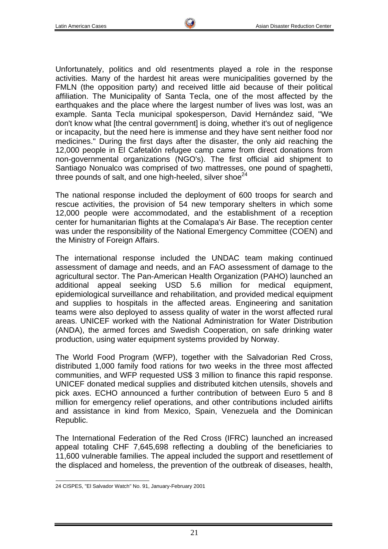Unfortunately, politics and old resentments played a role in the response activities. Many of the hardest hit areas were municipalities governed by the FMLN (the opposition party) and received little aid because of their political affiliation. The Municipality of Santa Tecla, one of the most affected by the earthquakes and the place where the largest number of lives was lost, was an example. Santa Tecla municipal spokesperson, David Hernández said, "We don't know what [the central government] is doing, whether it's out of negligence or incapacity, but the need here is immense and they have sent neither food nor medicines." During the first days after the disaster, the only aid reaching the 12,000 people in El Cafetalón refugee camp came from direct donations from non-governmental organizations (NGO's). The first official aid shipment to Santiago Nonualco was comprised of two mattresses, one pound of spaghetti, three pounds of salt, and one high-heeled, silver shoe $^{24}$ 

The national response included the deployment of 600 troops for search and rescue activities, the provision of 54 new temporary shelters in which some 12,000 people were accommodated, and the establishment of a reception center for humanitarian flights at the Comalapa's Air Base. The reception center was under the responsibility of the National Emergency Committee (COEN) and the Ministry of Foreign Affairs.

The international response included the UNDAC team making continued assessment of damage and needs, and an FAO assessment of damage to the agricultural sector. The Pan-American Health Organization (PAHO) launched an additional appeal seeking USD 5.6 million for medical equipment, epidemiological surveillance and rehabilitation, and provided medical equipment and supplies to hospitals in the affected areas. Engineering and sanitation teams were also deployed to assess quality of water in the worst affected rural areas. UNICEF worked with the National Administration for Water Distribution (ANDA), the armed forces and Swedish Cooperation, on safe drinking water production, using water equipment systems provided by Norway.

The World Food Program (WFP), together with the Salvadorian Red Cross, distributed 1,000 family food rations for two weeks in the three most affected communities, and WFP requested US\$ 3 million to finance this rapid response. UNICEF donated medical supplies and distributed kitchen utensils, shovels and pick axes. ECHO announced a further contribution of between Euro 5 and 8 million for emergency relief operations, and other contributions included airlifts and assistance in kind from Mexico, Spain, Venezuela and the Dominican Republic.

The International Federation of the Red Cross (IFRC) launched an increased appeal totaling CHF 7,645,698 reflecting a doubling of the beneficiaries to 11,600 vulnerable families. The appeal included the support and resettlement of the displaced and homeless, the prevention of the outbreak of diseases, health,

 24 CISPES, "El Salvador Watch" No. 91, January-February 2001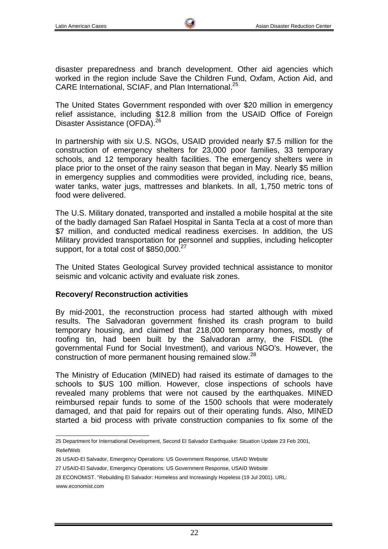disaster preparedness and branch development. Other aid agencies which worked in the region include Save the Children Fund, Oxfam, Action Aid, and CARE International, SCIAF, and Plan International.<sup>25</sup>

The United States Government responded with over \$20 million in emergency relief assistance, including \$12.8 million from the USAID Office of Foreign Disaster Assistance (OFDA).<sup>26</sup>

In partnership with six U.S. NGOs, USAID provided nearly \$7.5 million for the construction of emergency shelters for 23,000 poor families, 33 temporary schools, and 12 temporary health facilities. The emergency shelters were in place prior to the onset of the rainy season that began in May. Nearly \$5 million in emergency supplies and commodities were provided, including rice, beans, water tanks, water jugs, mattresses and blankets. In all, 1,750 metric tons of food were delivered.

The U.S. Military donated, transported and installed a mobile hospital at the site of the badly damaged San Rafael Hospital in Santa Tecla at a cost of more than \$7 million, and conducted medical readiness exercises. In addition, the US Military provided transportation for personnel and supplies, including helicopter support, for a total cost of \$850,000.<sup>27</sup>

The United States Geological Survey provided technical assistance to monitor seismic and volcanic activity and evaluate risk zones.

### **Recovery/ Reconstruction activities**

By mid-2001, the reconstruction process had started although with mixed results. The Salvadoran government finished its crash program to build temporary housing, and claimed that 218,000 temporary homes, mostly of roofing tin, had been built by the Salvadoran army, the FISDL (the governmental Fund for Social Investment), and various NGO's. However, the construction of more permanent housing remained slow.<sup>28</sup>

The Ministry of Education (MINED) had raised its estimate of damages to the schools to \$US 100 million. However, close inspections of schools have revealed many problems that were not caused by the earthquakes. MINED reimbursed repair funds to some of the 1500 schools that were moderately damaged, and that paid for repairs out of their operating funds. Also, MINED started a bid process with private construction companies to fix some of the

27 USAID-El Salvador, Emergency Operations: US Government Response, USAID Website

 25 Department for International Development, Second El Salvador Earthquake: Situation Update 23 Feb 2001, ReliefWeb

<sup>26</sup> USAID-El Salvador, Emergency Operations: US Government Response, USAID Website

<sup>28</sup> ECONOMIST. "Rebuilding El Salvador: Homeless and Increasingly Hopeless (19 Jul 2001). URL:

www.economist.com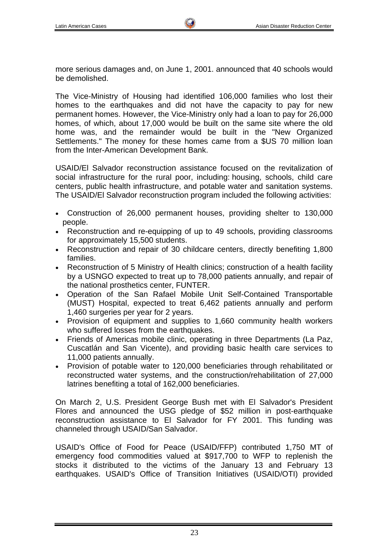more serious damages and, on June 1, 2001. announced that 40 schools would be demolished.

The Vice-Ministry of Housing had identified 106,000 families who lost their homes to the earthquakes and did not have the capacity to pay for new permanent homes. However, the Vice-Ministry only had a loan to pay for 26,000 homes, of which, about 17,000 would be built on the same site where the old home was, and the remainder would be built in the "New Organized Settlements." The money for these homes came from a \$US 70 million loan from the Inter-American Development Bank.

USAID/El Salvador reconstruction assistance focused on the revitalization of social infrastructure for the rural poor, including: housing, schools, child care centers, public health infrastructure, and potable water and sanitation systems. The USAID/El Salvador reconstruction program included the following activities:

- Construction of 26,000 permanent houses, providing shelter to 130,000 people.
- Reconstruction and re-equipping of up to 49 schools, providing classrooms for approximately 15,500 students.
- Reconstruction and repair of 30 childcare centers, directly benefiting 1,800 families.
- Reconstruction of 5 Ministry of Health clinics; construction of a health facility by a USNGO expected to treat up to 78,000 patients annually, and repair of the national prosthetics center, FUNTER.
- Operation of the San Rafael Mobile Unit Self-Contained Transportable (MUST) Hospital, expected to treat 6,462 patients annually and perform 1,460 surgeries per year for 2 years.
- Provision of equipment and supplies to 1,660 community health workers who suffered losses from the earthquakes.
- Friends of Americas mobile clinic, operating in three Departments (La Paz, Cuscatlán and San Vicente), and providing basic health care services to 11,000 patients annually.
- Provision of potable water to 120,000 beneficiaries through rehabilitated or reconstructed water systems, and the construction/rehabilitation of 27,000 latrines benefiting a total of 162,000 beneficiaries.

On March 2, U.S. President George Bush met with El Salvador's President Flores and announced the USG pledge of \$52 million in post-earthquake reconstruction assistance to El Salvador for FY 2001. This funding was channeled through USAID/San Salvador.

USAID's Office of Food for Peace (USAID/FFP) contributed 1,750 MT of emergency food commodities valued at \$917,700 to WFP to replenish the stocks it distributed to the victims of the January 13 and February 13 earthquakes. USAID's Office of Transition Initiatives (USAID/OTI) provided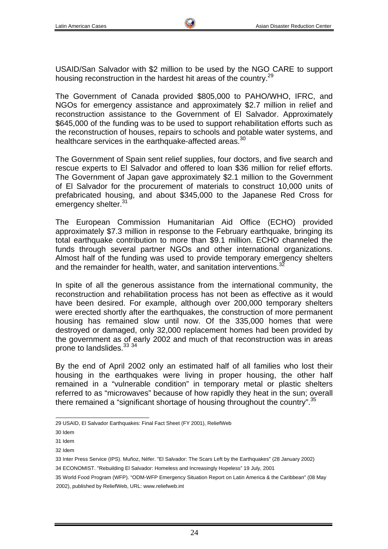USAID/San Salvador with \$2 million to be used by the NGO CARE to support housing reconstruction in the hardest hit areas of the country.<sup>29</sup>

The Government of Canada provided \$805,000 to PAHO/WHO, IFRC, and NGOs for emergency assistance and approximately \$2.7 million in relief and reconstruction assistance to the Government of El Salvador. Approximately \$645,000 of the funding was to be used to support rehabilitation efforts such as the reconstruction of houses, repairs to schools and potable water systems, and healthcare services in the earthquake-affected areas.  $30$ 

The Government of Spain sent relief supplies, four doctors, and five search and rescue experts to El Salvador and offered to loan \$36 million for relief efforts. The Government of Japan gave approximately \$2.1 million to the Government of El Salvador for the procurement of materials to construct 10,000 units of prefabricated housing, and about \$345,000 to the Japanese Red Cross for emergency shelter.<sup>31</sup>

The European Commission Humanitarian Aid Office (ECHO) provided approximately \$7.3 million in response to the February earthquake, bringing its total earthquake contribution to more than \$9.1 million. ECHO channeled the funds through several partner NGOs and other international organizations. Almost half of the funding was used to provide temporary emergency shelters and the remainder for health, water, and sanitation interventions. $3$ 

In spite of all the generous assistance from the international community, the reconstruction and rehabilitation process has not been as effective as it would have been desired. For example, although over 200,000 temporary shelters were erected shortly after the earthquakes, the construction of more permanent housing has remained slow until now. Of the 335,000 homes that were destroyed or damaged, only 32,000 replacement homes had been provided by the government as of early 2002 and much of that reconstruction was in areas prone to landslides.<sup>33</sup> 34

By the end of April 2002 only an estimated half of all families who lost their housing in the earthquakes were living in proper housing, the other half remained in a "vulnerable condition" in temporary metal or plastic shelters referred to as "microwaves" because of how rapidly they heat in the sun; overall there remained a "significant shortage of housing throughout the country".<sup>35</sup>

 29 USAID, El Salvador Earthquakes: Final Fact Sheet (FY 2001), ReliefWeb

<sup>30</sup> Idem

<sup>31</sup> Idem

<sup>32</sup> Idem

<sup>33</sup> Inter Press Service (IPS). Muñoz, Néfer. "El Salvador: The Scars Left by the Earthquakes" (28 January 2002)

<sup>34</sup> ECONOMIST. "Rebuilding El Salvador: Homeless and Increasingly Hopeless" 19 July, 2001

<sup>35</sup> World Food Program (WFP). "ODM-WFP Emergency Situation Report on Latin America & the Caribbean" (08 May 2002), published by ReliefWeb, URL: www.reliefweb.int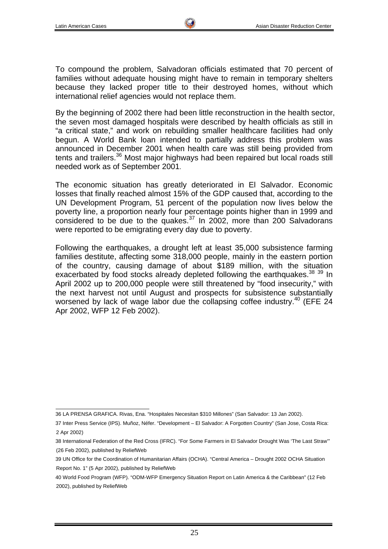To compound the problem, Salvadoran officials estimated that 70 percent of families without adequate housing might have to remain in temporary shelters because they lacked proper title to their destroyed homes, without which international relief agencies would not replace them.

By the beginning of 2002 there had been little reconstruction in the health sector, the seven most damaged hospitals were described by health officials as still in "a critical state," and work on rebuilding smaller healthcare facilities had only begun. A World Bank loan intended to partially address this problem was announced in December 2001 when health care was still being provided from tents and trailers.<sup>36</sup> Most major highways had been repaired but local roads still needed work as of September 2001.

The economic situation has greatly deteriorated in El Salvador. Economic losses that finally reached almost 15% of the GDP caused that, according to the UN Development Program, 51 percent of the population now lives below the poverty line, a proportion nearly four percentage points higher than in 1999 and considered to be due to the quakes.<sup>37</sup> In 2002, more than 200 Salvadorans were reported to be emigrating every day due to poverty.

Following the earthquakes, a drought left at least 35,000 subsistence farming families destitute, affecting some 318,000 people, mainly in the eastern portion of the country, causing damage of about \$189 million, with the situation exacerbated by food stocks already depleted following the earthquakes.<sup>38</sup> 39 In April 2002 up to 200,000 people were still threatened by "food insecurity," with the next harvest not until August and prospects for subsistence substantially worsened by lack of wage labor due the collapsing coffee industry.<sup>40</sup> (EFE 24) Apr 2002, WFP 12 Feb 2002).

 36 LA PRENSA GRAFICA. Rivas, Ena. "Hospitales Necesitan \$310 Millones" (San Salvador: 13 Jan 2002).

<sup>37</sup> Inter Press Service (IPS). Muñoz, Néfer. "Development – El Salvador: A Forgotten Country" (San Jose, Costa Rica: 2 Apr 2002)

<sup>38</sup> International Federation of the Red Cross (IFRC). "For Some Farmers in El Salvador Drought Was 'The Last Straw'" (26 Feb 2002), published by ReliefWeb

<sup>39</sup> UN Office for the Coordination of Humanitarian Affairs (OCHA). "Central America – Drought 2002 OCHA Situation Report No. 1" (5 Apr 2002), published by ReliefWeb

<sup>40</sup> World Food Program (WFP). "ODM-WFP Emergency Situation Report on Latin America & the Caribbean" (12 Feb 2002), published by ReliefWeb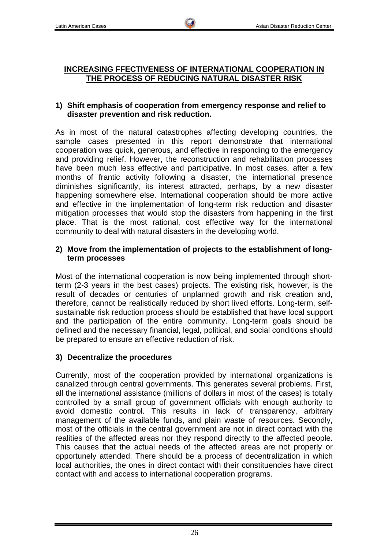## **INCREASING FFECTIVENESS OF INTERNATIONAL COOPERATION IN THE PROCESS OF REDUCING NATURAL DISASTER RISK**

### **1) Shift emphasis of cooperation from emergency response and relief to disaster prevention and risk reduction.**

As in most of the natural catastrophes affecting developing countries, the sample cases presented in this report demonstrate that international cooperation was quick, generous, and effective in responding to the emergency and providing relief. However, the reconstruction and rehabilitation processes have been much less effective and participative. In most cases, after a few months of frantic activity following a disaster, the international presence diminishes significantly, its interest attracted, perhaps, by a new disaster happening somewhere else. International cooperation should be more active and effective in the implementation of long-term risk reduction and disaster mitigation processes that would stop the disasters from happening in the first place. That is the most rational, cost effective way for the international community to deal with natural disasters in the developing world.

## **2) Move from the implementation of projects to the establishment of longterm processes**

Most of the international cooperation is now being implemented through shortterm (2-3 years in the best cases) projects. The existing risk, however, is the result of decades or centuries of unplanned growth and risk creation and, therefore, cannot be realistically reduced by short lived efforts. Long-term, selfsustainable risk reduction process should be established that have local support and the participation of the entire community. Long-term goals should be defined and the necessary financial, legal, political, and social conditions should be prepared to ensure an effective reduction of risk.

## **3) Decentralize the procedures**

Currently, most of the cooperation provided by international organizations is canalized through central governments. This generates several problems. First, all the international assistance (millions of dollars in most of the cases) is totally controlled by a small group of government officials with enough authority to avoid domestic control. This results in lack of transparency, arbitrary management of the available funds, and plain waste of resources. Secondly, most of the officials in the central government are not in direct contact with the realities of the affected areas nor they respond directly to the affected people. This causes that the actual needs of the affected areas are not properly or opportunely attended. There should be a process of decentralization in which local authorities, the ones in direct contact with their constituencies have direct contact with and access to international cooperation programs.